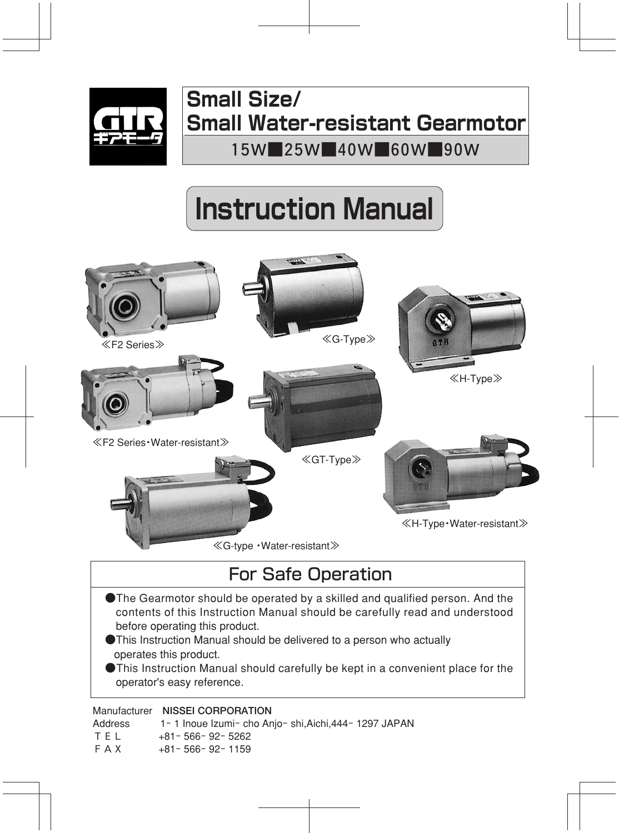

## **Small Size/ Small Water-resistant Gearmotor**

**1 5W ■ 2 5W ■ 4 0W ■ 6 0W ■ 9 0W** 

# **Instruction Manual**



### For Safe Operation

- ●The Gearmotor should be operated by a skilled and qualified person. And the contents of this Instruction Manual should be carefully read and understood before operating this product.
- ●This Instruction Manual should be delivered to a person who actually operates this product.
- ●This Instruction Manual should carefully be kept in a convenient place for the operator's easy reference.

#### Manufacturer **NISSEI CORPORATION**

| <u>171411414014101</u> | - 111994 - 1990 - 1991 - 1992 - 1993 - 1994 - 1994 - 1994 - 1994 - 1994 - 1994 - 1994 - 1994 - 1995 - 199 |
|------------------------|-----------------------------------------------------------------------------------------------------------|
| Address                | 1-1 Inoue Izumi-cho Anjo-shi, Aichi, 444-1297 JAPAN                                                       |
| TEL                    | +81-566-92-5262                                                                                           |
| FAX                    | $+81 - 566 - 92 - 1159$                                                                                   |
|                        |                                                                                                           |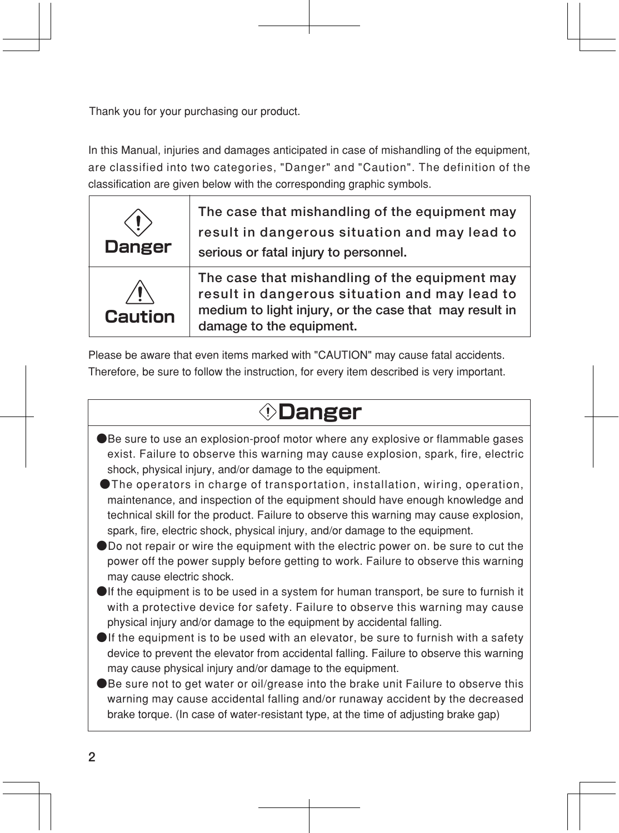Thank you for your purchasing our product.

In this Manual, injuries and damages anticipated in case of mishandling of the equipment, are classified into two categories, "Danger" and "Caution". The definition of the classification are given below with the corresponding graphic symbols.

| <b>Danger</b>  | The case that mishandling of the equipment may<br>result in dangerous situation and may lead to<br>serious or fatal injury to personnel.                                              |
|----------------|---------------------------------------------------------------------------------------------------------------------------------------------------------------------------------------|
| <b>Caution</b> | The case that mishandling of the equipment may<br>result in dangerous situation and may lead to<br>medium to light injury, or the case that may result in<br>damage to the equipment. |

Please be aware that even items marked with "CAUTION" may cause fatal accidents. Therefore, be sure to follow the instruction, for every item described is very important.

## **Danger**

- ●Be sure to use an explosion-proof motor where any explosive or flammable gases exist. Failure to observe this warning may cause explosion, spark, fire, electric shock, physical injury, and/or damage to the equipment.
- ●The operators in charge of transportation, installation, wiring, operation, maintenance, and inspection of the equipment should have enough knowledge and technical skill for the product. Failure to observe this warning may cause explosion, spark, fire, electric shock, physical injury, and/or damage to the equipment.
- ●Do not repair or wire the equipment with the electric power on. be sure to cut the power off the power supply before getting to work. Failure to observe this warning may cause electric shock.
- $\bigcirc$  If the equipment is to be used in a system for human transport, be sure to furnish it with a protective device for safety. Failure to observe this warning may cause physical injury and/or damage to the equipment by accidental falling.
- $\bigcirc$  If the equipment is to be used with an elevator, be sure to furnish with a safety device to prevent the elevator from accidental falling. Failure to observe this warning may cause physical injury and/or damage to the equipment.
- ●Be sure not to get water or oil/grease into the brake unit Failure to observe this warning may cause accidental falling and/or runaway accident by the decreased brake torque. (In case of water-resistant type, at the time of adjusting brake gap)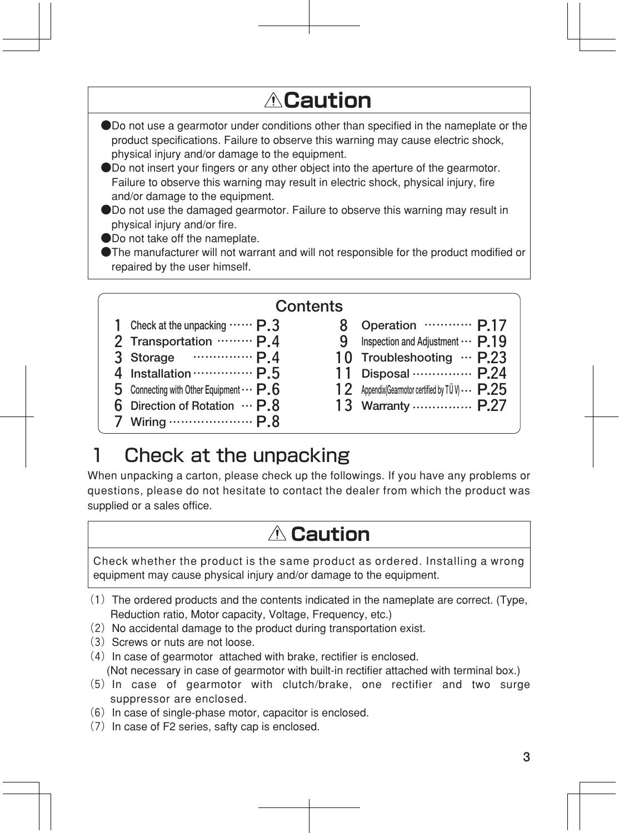## **Caution**

- ●Do not use a gearmotor under conditions other than specified in the nameplate or the product specifications. Failure to observe this warning may cause electric shock, physical injury and/or damage to the equipment.
- ●Do not insert your fingers or any other object into the aperture of the gearmotor. Failure to observe this warning may result in electric shock, physical injury, fire and/or damage to the equipment.
- ●Do not use the damaged gearmotor. Failure to observe this warning may result in physical injury and/or fire.
- ●Do not take off the nameplate.
- ●The manufacturer will not warrant and will not responsible for the product modified or repaired by the user himself.

| Contents                                                              |   |                                                                          |  |  |  |
|-----------------------------------------------------------------------|---|--------------------------------------------------------------------------|--|--|--|
| Check at the unpacking $\cdots \cdots P.3$                            |   | Operation  P.17                                                          |  |  |  |
| 2 Transportation  P.4                                                 | 9 | Inspection and Adjustment $\cdots$ P.19                                  |  |  |  |
| 3 Storage  P.4                                                        |   | 10 Troubleshooting $\cdots$ P.23                                         |  |  |  |
| 4 Installation  P.5<br>5 Connecting with Other Equipment $\cdots$ P.6 |   | 11 Disposal …………… P.24<br>12 Appendix(Gearmotor certified by TÜ V)  P.25 |  |  |  |
| 6 Direction of Rotation $\cdots$ P.8                                  |   | 13 Warranty  P.27                                                        |  |  |  |
| Wiring $\cdots$ P.8                                                   |   |                                                                          |  |  |  |

### 1 Check at the unpacking

When unpacking a carton, please check up the followings. If you have any problems or questions, please do not hesitate to contact the dealer from which the product was supplied or a sales office.

### **Caution**

Check whether the product is the same product as ordered. Installing a wrong equipment may cause physical injury and/or damage to the equipment.

- $(1)$  The ordered products and the contents indicated in the nameplate are correct. (Type, Reduction ratio, Motor capacity, Voltage, Frequency, etc.)
- $(2)$  No accidental damage to the product during transportation exist.
- $(3)$  Screws or nuts are not loose.
	- $(4)$  In case of gearmotor attached with brake, rectifier is enclosed. (Not necessary in case of gearmotor with built-in rectifier attached with terminal box.)
	- (5)In case of gearmotor with clutch/brake, one rectifier and two surge suppressor are enclosed.
	- $(6)$  In case of single-phase motor, capacitor is enclosed.
	- $(7)$  In case of F2 series, safty cap is enclosed.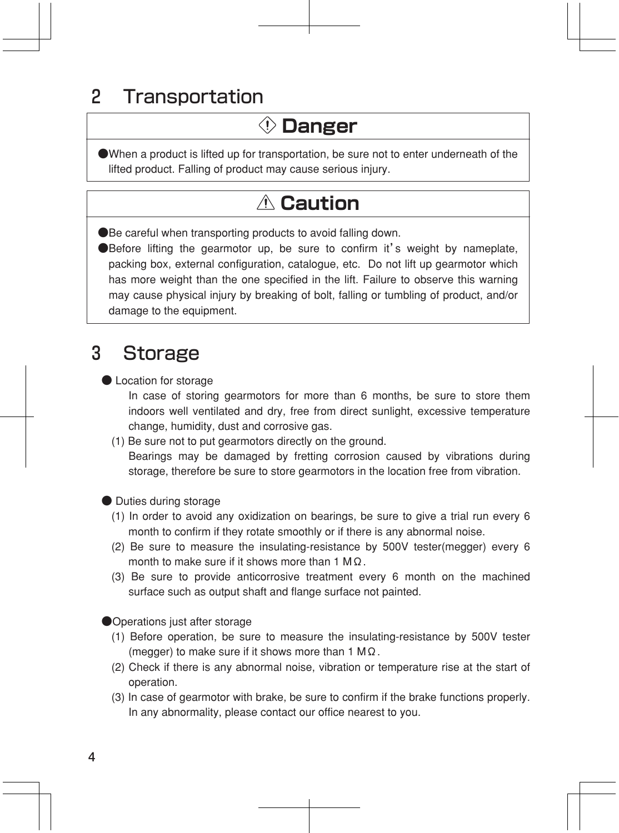### 2 Transportation

## **Danger**

●When a product is lifted up for transportation, be sure not to enter underneath of the lifted product. Falling of product may cause serious injury.

## **Caution**

●Be careful when transporting products to avoid falling down.

●Before lifting the gearmotor up, be sure to confirm it's weight by nameplate, packing box, external configuration, catalogue, etc. Do not lift up gearmotor which has more weight than the one specified in the lift. Failure to observe this warning may cause physical injury by breaking of bolt, falling or tumbling of product, and/or damage to the equipment.

### 3 Storage

● Location for storage

In case of storing gearmotors for more than 6 months, be sure to store them indoors well ventilated and dry, free from direct sunlight, excessive temperature change, humidity, dust and corrosive gas.

#### (1) Be sure not to put gearmotors directly on the ground.

Bearings may be damaged by fretting corrosion caused by vibrations during storage, therefore be sure to store gearmotors in the location free from vibration.

● Duties during storage

- (1) In order to avoid any oxidization on bearings, be sure to give a trial run every 6 month to confirm if they rotate smoothly or if there is any abnormal noise.
- (2) Be sure to measure the insulating-resistance by 500V tester(megger) every 6 month to make sure if it shows more than 1 MΩ.
- (3) Be sure to provide anticorrosive treatment every 6 month on the machined surface such as output shaft and flange surface not painted.

●Operations just after storage

- (1) Before operation, be sure to measure the insulating-resistance by 500V tester (megger) to make sure if it shows more than 1 M $\Omega$ .
- (2) Check if there is any abnormal noise, vibration or temperature rise at the start of operation.
- (3) In case of gearmotor with brake, be sure to confirm if the brake functions properly. In any abnormality, please contact our office nearest to you.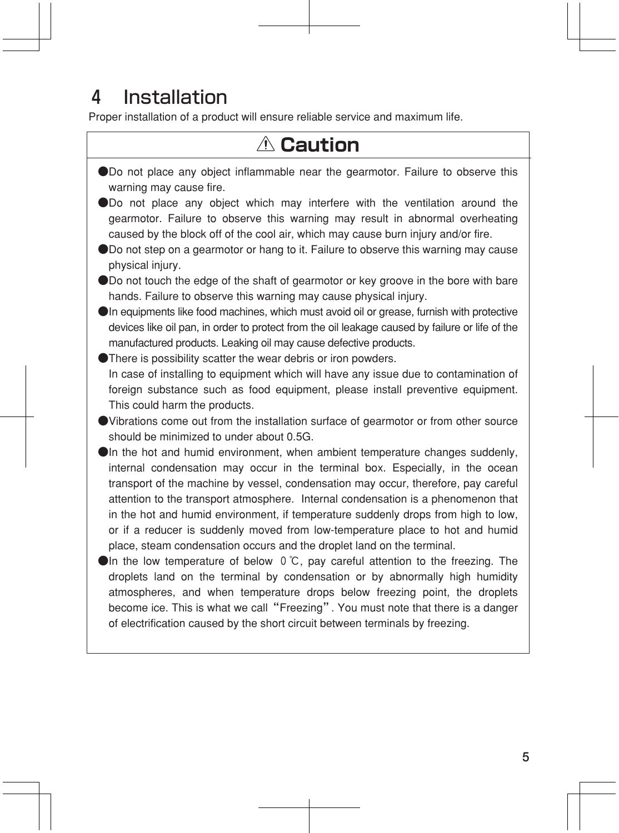## 4 Installation

Proper installation of a product will ensure reliable service and maximum life.

## **Caution**

| ODo not place any object inflammable near the gearmotor. Failure to observe this<br>warning may cause fire.                                                                                                                                                                                                                                                                                                                                                                                                                                                                                                                                                                             |
|-----------------------------------------------------------------------------------------------------------------------------------------------------------------------------------------------------------------------------------------------------------------------------------------------------------------------------------------------------------------------------------------------------------------------------------------------------------------------------------------------------------------------------------------------------------------------------------------------------------------------------------------------------------------------------------------|
| ● Do not place any object which may interfere with the ventilation around the<br>gearmotor. Failure to observe this warning may result in abnormal overheating<br>caused by the block off of the cool air, which may cause burn injury and/or fire.<br>● Do not step on a gearmotor or hang to it. Failure to observe this warning may cause                                                                                                                                                                                                                                                                                                                                            |
| physical injury.                                                                                                                                                                                                                                                                                                                                                                                                                                                                                                                                                                                                                                                                        |
| ● Do not touch the edge of the shaft of gearmotor or key groove in the bore with bare<br>hands. Failure to observe this warning may cause physical injury.                                                                                                                                                                                                                                                                                                                                                                                                                                                                                                                              |
| OIn equipments like food machines, which must avoid oil or grease, furnish with protective<br>devices like oil pan, in order to protect from the oil leakage caused by failure or life of the<br>manufactured products. Leaking oil may cause defective products.<br>● There is possibility scatter the wear debris or iron powders.                                                                                                                                                                                                                                                                                                                                                    |
| In case of installing to equipment which will have any issue due to contamination of<br>foreign substance such as food equipment, please install preventive equipment.<br>This could harm the products.                                                                                                                                                                                                                                                                                                                                                                                                                                                                                 |
| • Vibrations come out from the installation surface of gearmotor or from other source<br>should be minimized to under about 0.5G.                                                                                                                                                                                                                                                                                                                                                                                                                                                                                                                                                       |
| OIn the hot and humid environment, when ambient temperature changes suddenly,<br>internal condensation may occur in the terminal box. Especially, in the ocean<br>transport of the machine by vessel, condensation may occur, therefore, pay careful<br>attention to the transport atmosphere. Internal condensation is a phenomenon that<br>in the hot and humid environment, if temperature suddenly drops from high to low,<br>or if a reducer is suddenly moved from low-temperature place to hot and humid<br>place, steam condensation occurs and the droplet land on the terminal.<br>$\bullet$ In the low temperature of below 0 °C, pay careful attention to the freezing. The |
| droplets land on the terminal by condensation or by abnormally high humidity<br>atmospheres, and when temperature drops below freezing point, the droplets<br>become ice. This is what we call "Freezing". You must note that there is a danger<br>of electrification caused by the short circuit between terminals by freezing.                                                                                                                                                                                                                                                                                                                                                        |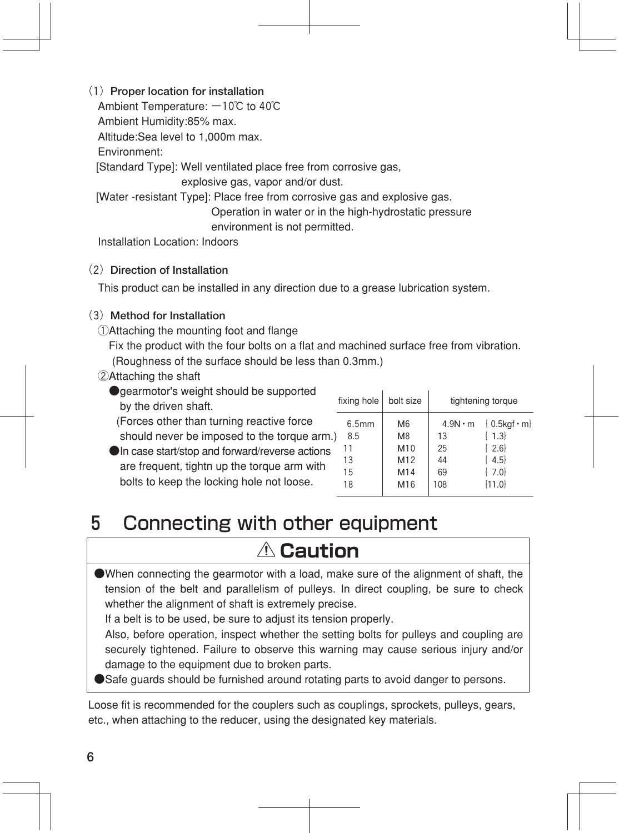(1)**Proper location for installation** 

Ambient Temperature: -10℃ to 40℃

Ambient Humidity:85% max.

Altitude:Sea level to 1,000m max.

Environment:

[Standard Type]: Well ventilated place free from corrosive gas,

explosive gas, vapor and/or dust.

[Water -resistant Type]: Place free from corrosive gas and explosive gas.

 Operation in water or in the high-hydrostatic pressure environment is not permitted.

Installation Location: Indoors

#### (2)**Direction of Installation**

This product can be installed in any direction due to a grease lubrication system.

#### (3)**Method for Installation**

①Attaching the mounting foot and flange

 Fix the product with the four bolts on a flat and machined surface free from vibration. (Roughness of the surface should be less than 0.3mm.)

#### ②Attaching the shaft

- ●gearmotor's weight should be supported by the driven shaft.
	- (Forces other than turning reactive force should never be imposed to the torque arm.)
- ●In case start/stop and forward/reverse actions are frequent, tightn up the torque arm with bolts to keep the locking hole not loose.

| fixing hole                    | bolt size                                 |                      | tightening torque                                                    |
|--------------------------------|-------------------------------------------|----------------------|----------------------------------------------------------------------|
| 6.5mm<br>8.5<br>11<br>13<br>15 | M <sub>6</sub><br>M8<br>M10<br>M12<br>M14 | 13<br>25<br>44<br>69 | $4.9N \cdot m \{ 0.5kgf \cdot m\}$<br>1.3<br>$\{2.6\}$<br>4.5<br>7.0 |
| 18                             | M16                                       | 108                  | ${11.0}$                                                             |
|                                |                                           |                      |                                                                      |

### 5 Connecting with other equipment

## **Caution**

 $\bullet$ When connecting the gearmotor with a load, make sure of the alignment of shaft, the tension of the belt and parallelism of pulleys. In direct coupling, be sure to check whether the alignment of shaft is extremely precise.

If a belt is to be used, be sure to adjust its tension properly.

 Also, before operation, inspect whether the setting bolts for pulleys and coupling are securely tightened. Failure to observe this warning may cause serious injury and/or damage to the equipment due to broken parts.

●Safe guards should be furnished around rotating parts to avoid danger to persons.

Loose fit is recommended for the couplers such as couplings, sprockets, pulleys, gears, etc., when attaching to the reducer, using the designated key materials.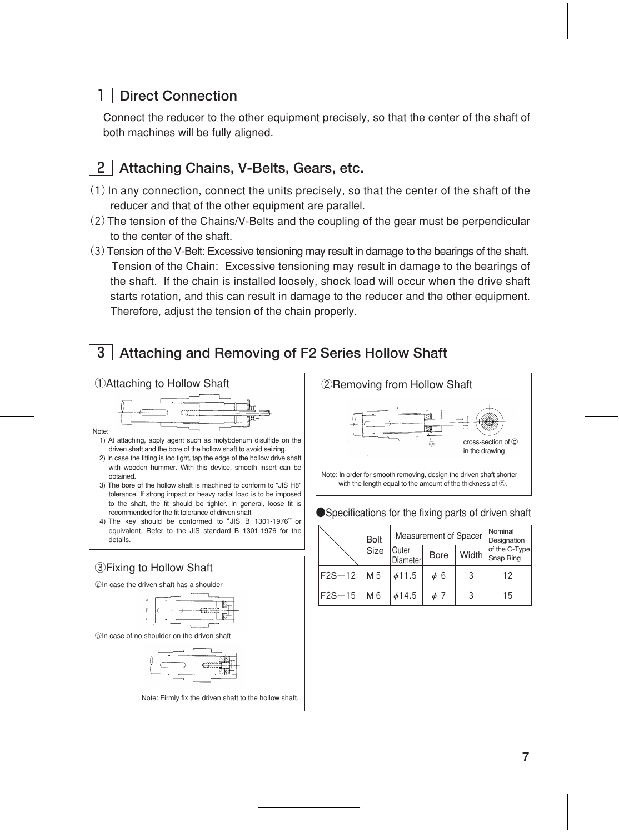#### **Direct Connection**

Connect the reducer to the other equipment precisely, so that the center of the shaft of both machines will be fully aligned.



#### 2 **Attaching Chains, V-Belts, Gears, etc.**

- $(1)$  In any connection, connect the units precisely, so that the center of the shaft of the reducer and that of the other equipment are parallel.
- (2)The tension of the Chains/V-Belts and the coupling of the gear must be perpendicular to the center of the shaft.
- (3)Tension of the V-Belt: Excessive tensioning may result in damage to the bearings of the shaft. Tension of the Chain: Excessive tensioning may result in damage to the bearings of the shaft. If the chain is installed loosely, shock load will occur when the drive shaft starts rotation, and this can result in damage to the reducer and the other equipment. Therefore, adjust the tension of the chain properly.

### 3 **Attaching and Removing of F2 Series Hollow Shaft**





#### Nominal Designation of the C-Type Snap Ring Bolt Measurement of Spacer<br>Size Outer Bore Width **Diameter** F2S-12 M5  $\phi$ 11.5  $\phi$  6 3 12 F2S-15 M6  $414.5$   $47$  3 13

#### ●Specifications for the fixing parts of driven shaft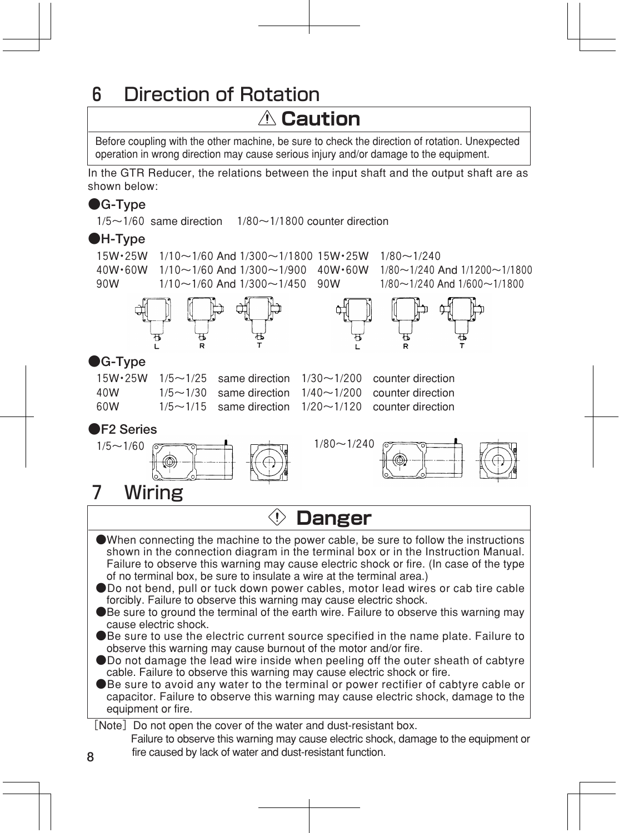## 6 Direction of Rotation

### **Caution**

Before coupling with the other machine, be sure to check the direction of rotation. Unexpected operation in wrong direction may cause serious injury and/or damage to the equipment.

In the GTR Reducer, the relations between the input shaft and the output shaft are as shown below:

### **●G-Type**

 $1/5 \sim 1/60$  same direction  $1/80 \sim 1/1800$  counter direction

#### **●H-Type**



## 7 Wiring

| $\mathbb D$ Danger                                                                                                                                                                                                                                                                                                                                                                                                                                                                                                                                                                                                                                                                                               |
|------------------------------------------------------------------------------------------------------------------------------------------------------------------------------------------------------------------------------------------------------------------------------------------------------------------------------------------------------------------------------------------------------------------------------------------------------------------------------------------------------------------------------------------------------------------------------------------------------------------------------------------------------------------------------------------------------------------|
| • When connecting the machine to the power cable, be sure to follow the instructions<br>shown in the connection diagram in the terminal box or in the Instruction Manual.<br>Failure to observe this warning may cause electric shock or fire. (In case of the type<br>of no terminal box, be sure to insulate a wire at the terminal area.)<br>●Do not bend, pull or tuck down power cables, motor lead wires or cab tire cable<br>forcibly. Failure to observe this warning may cause electric shock.<br>Be sure to ground the terminal of the earth wire. Failure to observe this warning may<br>cause electric shock.<br>●Be sure to use the electric current source specified in the name plate. Failure to |
| observe this warning may cause burnout of the motor and/or fire.<br>Do not damage the lead wire inside when peeling off the outer sheath of cabtyre<br>cable. Failure to observe this warning may cause electric shock or fire.<br>●Be sure to avoid any water to the terminal or power rectifier of cabtyre cable or<br>capacitor. Failure to observe this warning may cause electric shock, damage to the<br>equipment or fire.                                                                                                                                                                                                                                                                                |
| [Note] Do not open the cover of the water and dust-resistant box.<br>Failure to observe this warning may cause electric shock, damage to the equipment or                                                                                                                                                                                                                                                                                                                                                                                                                                                                                                                                                        |

fire caused by lack of water and dust-resistant function.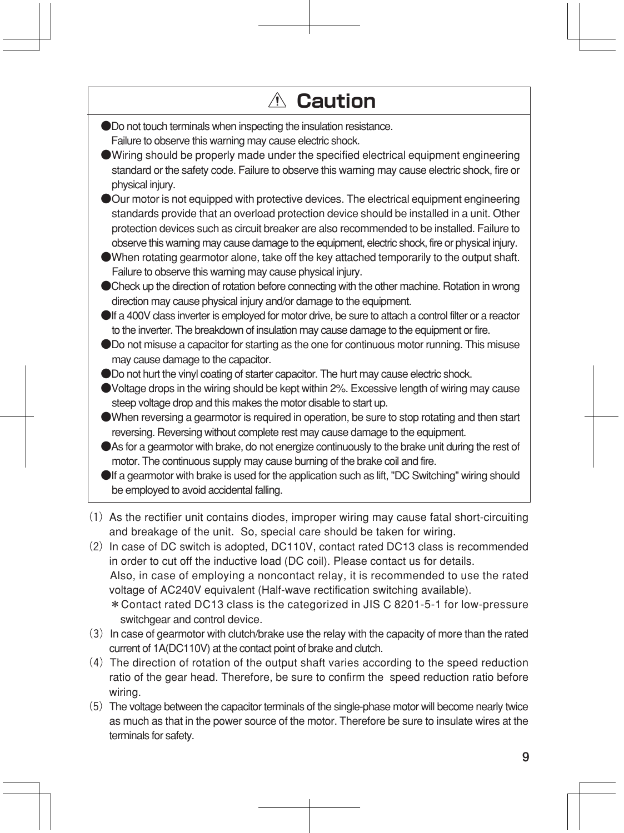| $\triangle$ Caution                                                                                                |
|--------------------------------------------------------------------------------------------------------------------|
| ODo not touch terminals when inspecting the insulation resistance.                                                 |
| Failure to observe this warning may cause electric shock.                                                          |
| Wiring should be properly made under the specified electrical equipment engineering                                |
| standard or the safety code. Failure to observe this warning may cause electric shock, fire or<br>physical injury. |
| Our motor is not equipped with protective devices. The electrical equipment engineering                            |
| standards provide that an overload protection device should be installed in a unit. Other                          |
| protection devices such as circuit breaker are also recommended to be installed. Failure to                        |
| observe this warning may cause damage to the equipment, electric shock, fire or physical injury.                   |
| • When rotating gearmotor alone, take off the key attached temporarily to the output shaft.                        |
| Failure to observe this warning may cause physical injury.                                                         |
| Ocheck up the direction of rotation before connecting with the other machine. Rotation in wrong                    |
| direction may cause physical injury and/or damage to the equipment.                                                |
| If a 400V class inverter is employed for motor drive, be sure to attach a control filter or a reactor              |
| to the inverter. The breakdown of insulation may cause damage to the equipment or fire.                            |
| Do not misuse a capacitor for starting as the one for continuous motor running. This misuse                        |
| may cause damage to the capacitor.                                                                                 |
| ODo not hurt the vinyl coating of starter capacitor. The hurt may cause electric shock.                            |
| ● Voltage drops in the wiring should be kept within 2%. Excessive length of wiring may cause                       |
| steep voltage drop and this makes the motor disable to start up.                                                   |
| When reversing a gearmotor is required in operation, be sure to stop rotating and then start                       |
| reversing. Reversing without complete rest may cause damage to the equipment.                                      |
| As for a gearmotor with brake, do not energize continuously to the brake unit during the rest of                   |
| motor. The continuous supply may cause burning of the brake coil and fire.                                         |
| If a gearmotor with brake is used for the application such as lift, "DC Switching" wiring should                   |
| be employed to avoid accidental falling.                                                                           |

 $(2)$  In case of DC switch is adopted, DC110V, contact rated DC13 class is recommended in order to cut off the inductive load (DC coil). Please contact us for details. Also, in case of employing a noncontact relay, it is recommended to use the rated voltage of AC240V equivalent (Half-wave rectification switching available). \*Contact rated DC13 class is the categorized in JIS C 8201-5-1 for low-pressure switchgear and control device.

- (3)In case of gearmotor with clutch/brake use the relay with the capacity of more than the rated current of 1A(DC110V) at the contact point of brake and clutch.
- (4)The direction of rotation of the output shaft varies according to the speed reduction ratio of the gear head. Therefore, be sure to confirm the speed reduction ratio before wiring.
- (5)The voltage between the capacitor terminals of the single-phase motor will become nearly twice as much as that in the power source of the motor. Therefore be sure to insulate wires at the terminals for safety.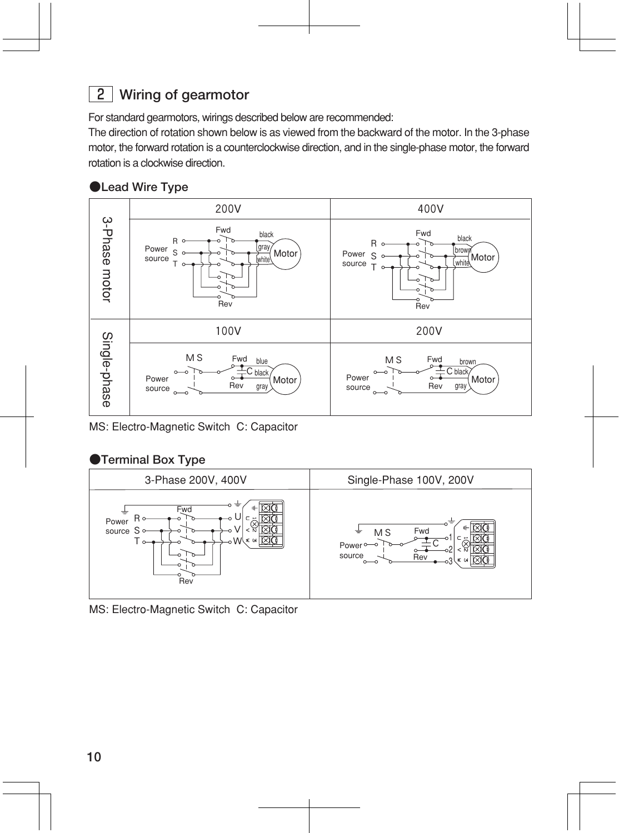### 2 **Wiring of gearmotor**

For standard gearmotors, wirings described below are recommended:

The direction of rotation shown below is as viewed from the backward of the motor. In the 3-phase motor, the forward rotation is a counterclockwise direction, and in the single-phase motor, the forward rotation is a clockwise direction.

#### **●Lead Wire Type**



MS: Electro-Magnetic Switch C: Capacitor

#### **●Terminal Box Type**



MS: Electro-Magnetic Switch C: Capacitor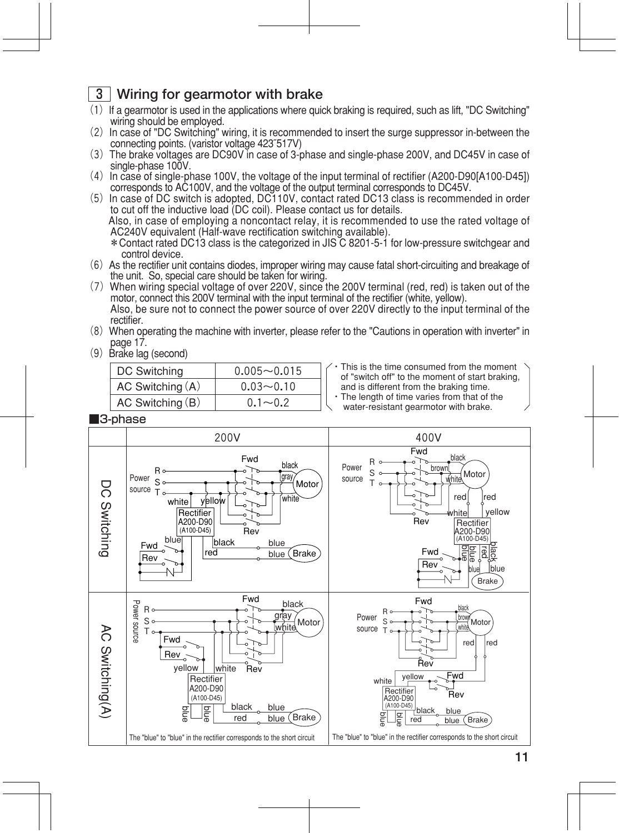### 3 **Wiring for gearmotor with brake**

- $(1)$  If a gearmotor is used in the applications where quick braking is required, such as lift, "DC Switching" wiring should be employed.
- (2) In case of "DC Switching" wiring, it is recommended to insert the surge suppressor in-between the connecting points. (varistor voltage 423̃517V)
- (3) The brake voltages are DC90V in case of 3-phase and single-phase 200V, and DC45V in case of single-phase 100V.
- (4) In case of single-phase 100V, the voltage of the input terminal of rectifier (A200-D90[A100-D45]) corresponds to AC100V, and the voltage of the output terminal corresponds to DC45V.
- $(5)$  In case of DC switch is adopted, DC110V, contact rated DC13 class is recommended in order to cut off the inductive load (DC coil). Please contact us for details. Also, in case of employing a noncontact relay, it is recommended to use the rated voltage of AC240V equivalent (Half-wave rectification switching available). \*Contact rated DC13 class is the categorized in JIS C 8201-5-1 for low-pressure switchgear and control device.
- (6)As the rectifier unit contains diodes, improper wiring may cause fatal short-circuiting and breakage of the unit. So, special care should be taken for wiring.
- (7)When wiring special voltage of over 220V, since the 200V terminal (red, red) is taken out of the motor, connect this 200V terminal with the input terminal of the rectifier (white, yellow). Also, be sure not to connect the power source of over 220V directly to the input terminal of the
- rectifier. (8)When operating the machine with inverter, please refer to the "Cautions in operation with inverter" in
- (9) Brake lag (second)

| DC Switching         | $0.005 - 0.015$ |
|----------------------|-----------------|
| AC Switching $(A)$   | $0.03 - 0.10$   |
| $AC$ Switching $(B)$ | $0.1 \sim 0.2$  |

- $\sqrt{\cdot}$  This is the time consumed from the moment of "switch off" to the moment of start braking, and is different from the braking time.
- ・The length of time varies from that of the
- water-resistant gearmotor with brake.

■3-phase

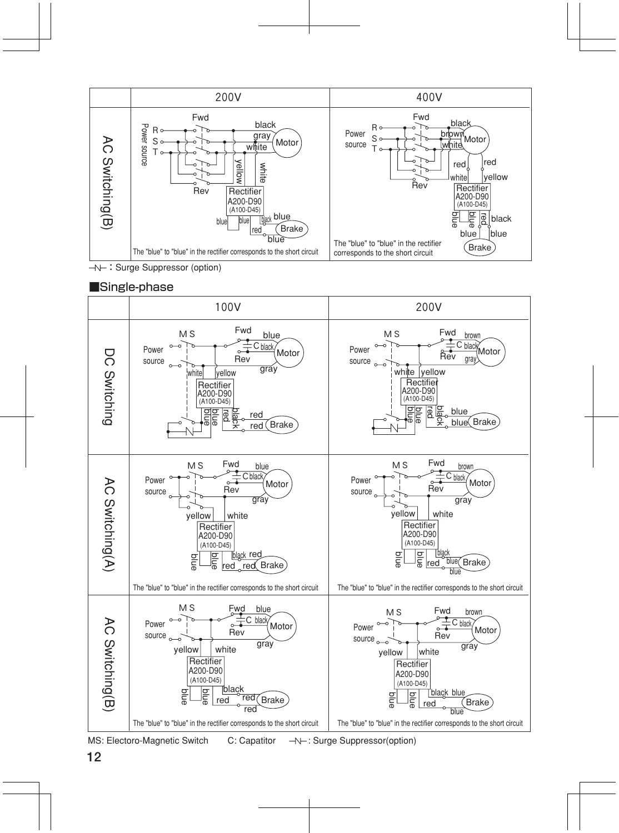

 $\overline{-N}$ : Surge Suppressor (option)

#### ■Single-phase



MS: Electoro-Magnetic Switch C: Capatitor  $\rightarrow \leftarrow$ : Surge Suppressor(option)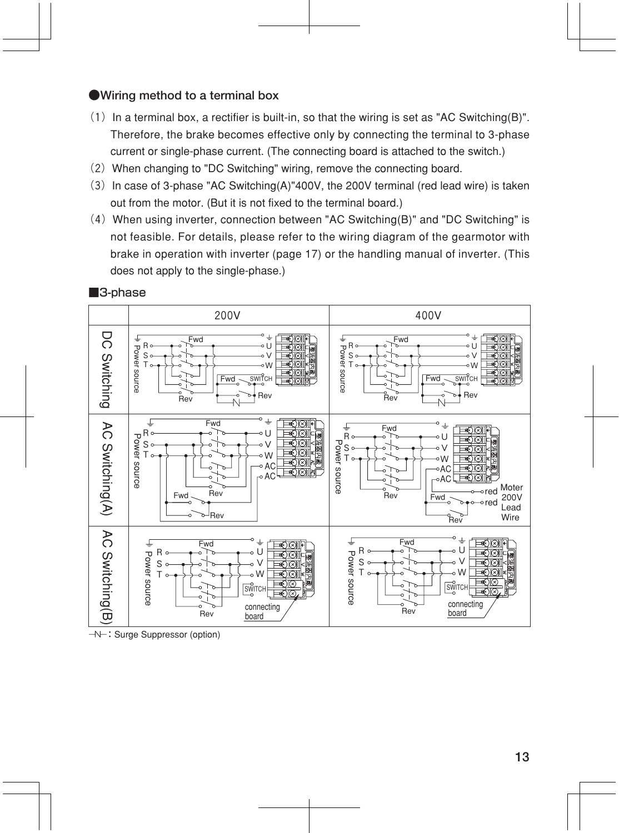#### **●Wiring method to a terminal box**

- $(1)$  In a terminal box, a rectifier is built-in, so that the wiring is set as "AC Switching(B)". Therefore, the brake becomes effective only by connecting the terminal to 3-phase current or single-phase current. (The connecting board is attached to the switch.)
- (2) When changing to "DC Switching" wiring, remove the connecting board.
- $(3)$  In case of 3-phase "AC Switching(A)"400V, the 200V terminal (red lead wire) is taken out from the motor. (But it is not fixed to the terminal board.)
- (4)When using inverter, connection between "AC Switching(B)" and "DC Switching" is not feasible. For details, please refer to the wiring diagram of the gearmotor with brake in operation with inverter (page 17) or the handling manual of inverter. (This does not apply to the single-phase.)



■3-phase

 $\rightarrow\rightarrow\rightarrow\rightarrow\rightarrow$ : Surge Suppressor (option)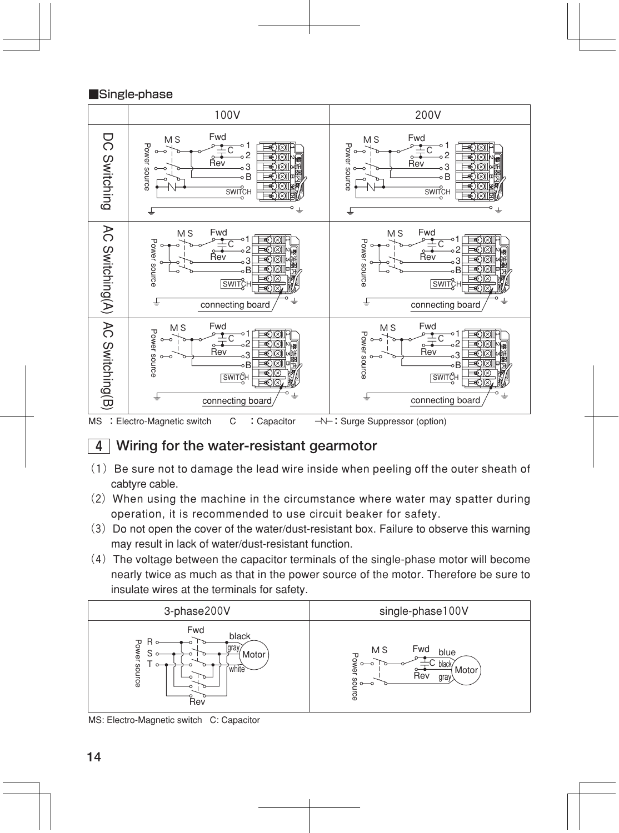#### ■Single-phase





#### 4 **Wiring for the water-resistant gearmotor**

- $(1)$  Be sure not to damage the lead wire inside when peeling off the outer sheath of cabtyre cable.
- (2)When using the machine in the circumstance where water may spatter during operation, it is recommended to use circuit beaker for safety.
- (3) Do not open the cover of the water/dust-resistant box. Failure to observe this warning may result in lack of water/dust-resistant function.
- $(4)$  The voltage between the capacitor terminals of the single-phase motor will become nearly twice as much as that in the power source of the motor. Therefore be sure to insulate wires at the terminals for safety.

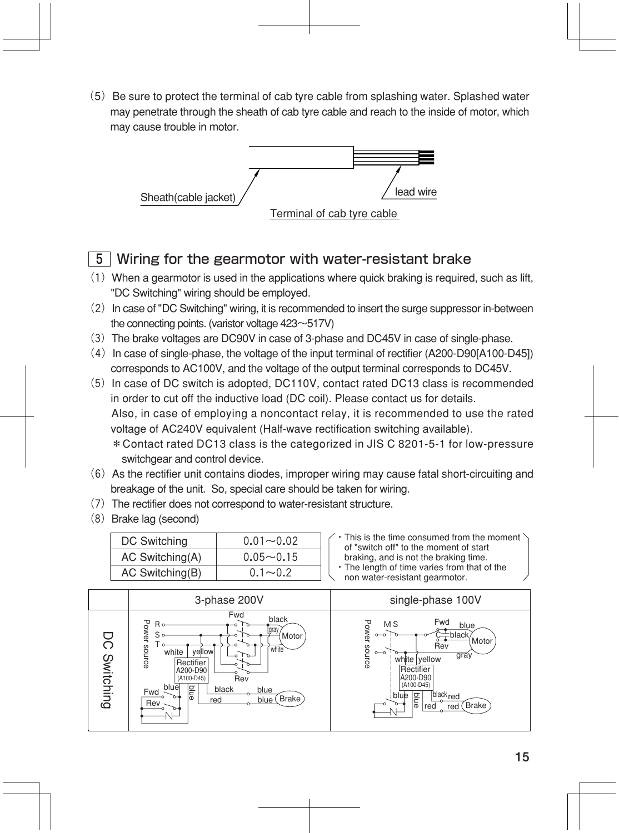(5) Be sure to protect the terminal of cab tyre cable from splashing water. Splashed water may penetrate through the sheath of cab tyre cable and reach to the inside of motor, which may cause trouble in motor.



#### 5 Wiring for the gearmotor with water-resistant brake

- $(1)$  When a gearmotor is used in the applications where quick braking is required, such as lift, "DC Switching" wiring should be employed.
- (2) In case of "DC Switching" wiring, it is recommended to insert the surge suppressor in-between the connecting points. (varistor voltage 423~517V)
- (3)The brake voltages are DC90V in case of 3-phase and DC45V in case of single-phase.
- (4)In case of single-phase, the voltage of the input terminal of rectifier (A200-D90[A100-D45]) corresponds to AC100V, and the voltage of the output terminal corresponds to DC45V.
- (5)In case of DC switch is adopted, DC110V, contact rated DC13 class is recommended in order to cut off the inductive load (DC coil). Please contact us for details. Also, in case of employing a noncontact relay, it is recommended to use the rated voltage of AC240V equivalent (Half-wave rectification switching available). \*Contact rated DC13 class is the categorized in JIS C 8201-5-1 for low-pressure switchgear and control device.
- $(6)$  As the rectifier unit contains diodes, improper wiring may cause fatal short-circuiting and breakage of the unit. So, special care should be taken for wiring.
- $(7)$  The rectifier does not correspond to water-resistant structure.
- (8) Brake lag (second)

| DC Switching    | $0.01 - 0.02$  | C |
|-----------------|----------------|---|
| AC Switching(A) | $0.05 - 0.15$  |   |
| AC Switching(B) | $0.1 \sim 0.2$ |   |

- This is the time consumed from the moment of "switch off" to the moment of start braking, and is not the braking time.
- The length of time varies from that of the

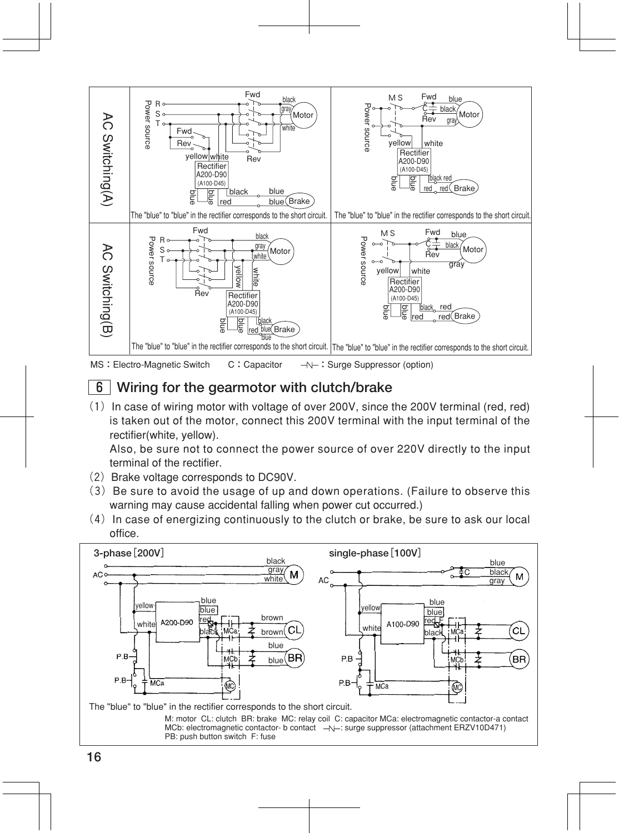

### 6 **Wiring for the gearmotor with clutch/brake**

 $(1)$  In case of wiring motor with voltage of over 200V, since the 200V terminal (red, red) is taken out of the motor, connect this 200V terminal with the input terminal of the rectifier(white, yellow).

Also, be sure not to connect the power source of over 220V directly to the input terminal of the rectifier.

- (2) Brake voltage corresponds to DC90V.
- $(3)$  Be sure to avoid the usage of up and down operations. (Failure to observe this warning may cause accidental falling when power cut occurred.)
- $(4)$  In case of energizing continuously to the clutch or brake, be sure to ask our local office.

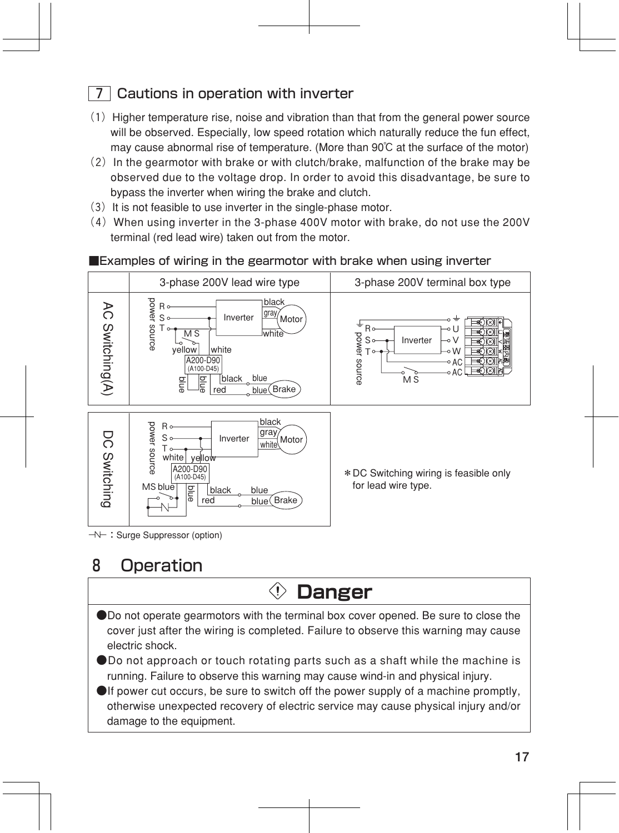### 7 Cautions in operation with inverter

- $(1)$  Higher temperature rise, noise and vibration than that from the general power source will be observed. Especially, low speed rotation which naturally reduce the fun effect, may cause abnormal rise of temperature. (More than 90℃ at the surface of the motor)
- $(2)$  In the gearmotor with brake or with clutch/brake, malfunction of the brake may be observed due to the voltage drop. In order to avoid this disadvantage, be sure to bypass the inverter when wiring the brake and clutch.
- $(3)$  It is not feasible to use inverter in the single-phase motor.
- (4)When using inverter in the 3-phase 400V motor with brake, do not use the 200V terminal (red lead wire) taken out from the motor.

#### ■Examples of wiring in the gearmotor with brake when using inverter



### 8 Operation

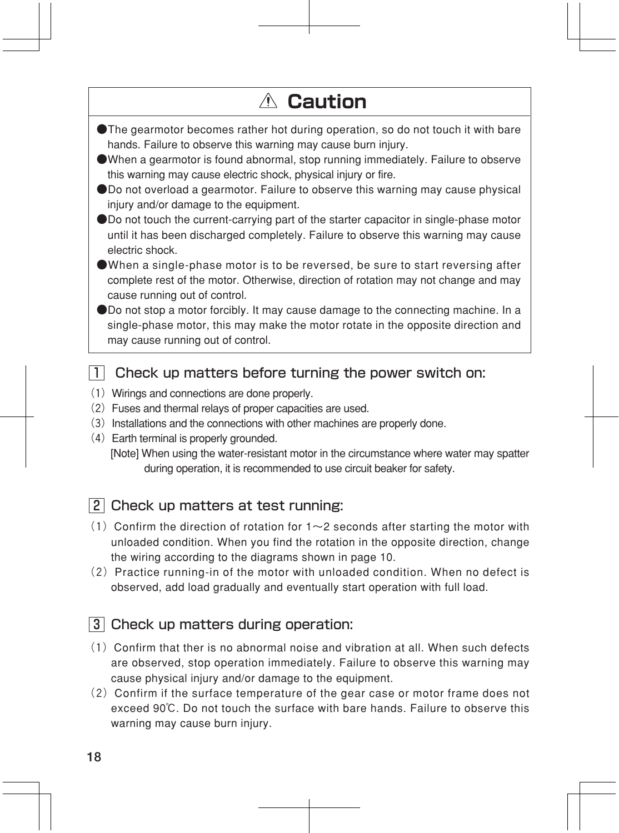## **Caution**

- ●The gearmotor becomes rather hot during operation, so do not touch it with bare hands. Failure to observe this warning may cause burn injury.
- ●When a gearmotor is found abnormal, stop running immediately. Failure to observe this warning may cause electric shock, physical injury or fire.
- ●Do not overload a gearmotor. Failure to observe this warning may cause physical injury and/or damage to the equipment.
- ●Do not touch the current-carrying part of the starter capacitor in single-phase motor until it has been discharged completely. Failure to observe this warning may cause electric shock.
- ●When a single-phase motor is to be reversed, be sure to start reversing after complete rest of the motor. Otherwise, direction of rotation may not change and may cause running out of control.

●Do not stop a motor forcibly. It may cause damage to the connecting machine. In a single-phase motor, this may make the motor rotate in the opposite direction and may cause running out of control.

#### $\Box$  Check up matters before turning the power switch on:

- (1) Wirings and connections are done properly.
- (2)Fuses and thermal relays of proper capacities are used.
- (3) Installations and the connections with other machines are properly done.
- (4)Earth terminal is properly grounded.

 [Note] When using the water-resistant motor in the circumstance where water may spatter during operation, it is recommended to use circuit beaker for safety.

### 2 Check up matters at test running:

- (1) Confirm the direction of rotation for  $1~2$  seconds after starting the motor with unloaded condition. When you find the rotation in the opposite direction, change the wiring according to the diagrams shown in page 10.
- $(2)$  Practice running-in of the motor with unloaded condition. When no defect is observed, add load gradually and eventually start operation with full load.

#### 3 Check up matters during operation:

- $(1)$  Confirm that ther is no abnormal noise and vibration at all. When such defects are observed, stop operation immediately. Failure to observe this warning may cause physical injury and/or damage to the equipment.
- $(2)$  Confirm if the surface temperature of the gear case or motor frame does not exceed 90℃. Do not touch the surface with bare hands. Failure to observe this warning may cause burn injury.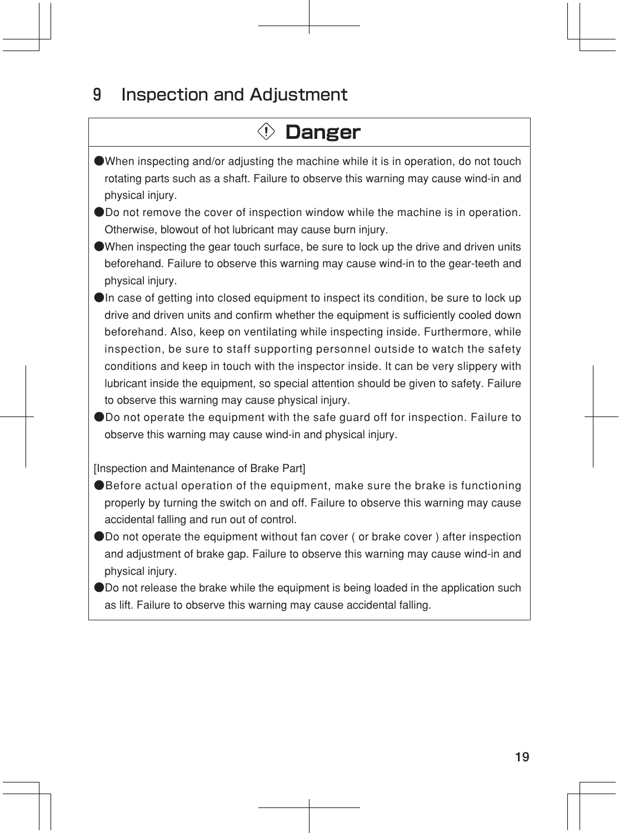### 9 Inspection and Adjustment

## **Danger**

- ●When inspecting and/or adjusting the machine while it is in operation, do not touch rotating parts such as a shaft. Failure to observe this warning may cause wind-in and physical injury.
- ●Do not remove the cover of inspection window while the machine is in operation. Otherwise, blowout of hot lubricant may cause burn injury.
- ●When inspecting the gear touch surface, be sure to lock up the drive and driven units beforehand. Failure to observe this warning may cause wind-in to the gear-teeth and physical injury.
- ●In case of getting into closed equipment to inspect its condition, be sure to lock up drive and driven units and confirm whether the equipment is sufficiently cooled down beforehand. Also, keep on ventilating while inspecting inside. Furthermore, while inspection, be sure to staff supporting personnel outside to watch the safety conditions and keep in touch with the inspector inside. It can be very slippery with lubricant inside the equipment, so special attention should be given to safety. Failure to observe this warning may cause physical injury.
- ●Do not operate the equipment with the safe quard off for inspection. Failure to observe this warning may cause wind-in and physical injury.

[Inspection and Maintenance of Brake Part]

- ●Before actual operation of the equipment, make sure the brake is functioning properly by turning the switch on and off. Failure to observe this warning may cause accidental falling and run out of control.
- ●Do not operate the equipment without fan cover ( or brake cover ) after inspection and adjustment of brake gap. Failure to observe this warning may cause wind-in and physical injury.
- ●Do not release the brake while the equipment is being loaded in the application such as lift. Failure to observe this warning may cause accidental falling.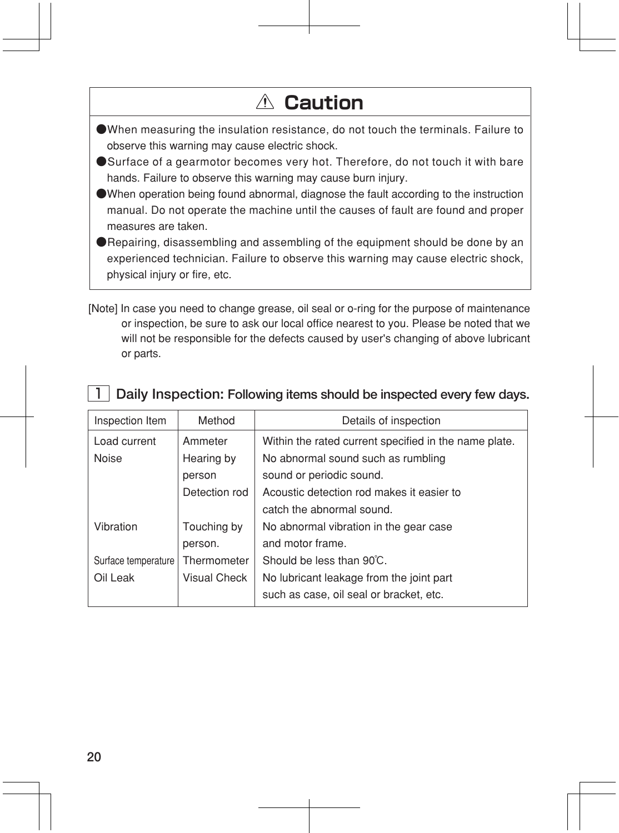## **Caution**

- ●When measuring the insulation resistance, do not touch the terminals. Failure to observe this warning may cause electric shock.
- ●Surface of a gearmotor becomes very hot. Therefore, do not touch it with bare hands. Failure to observe this warning may cause burn injury.
- ●When operation being found abnormal, diagnose the fault according to the instruction manual. Do not operate the machine until the causes of fault are found and proper measures are taken.
- ●Repairing, disassembling and assembling of the equipment should be done by an experienced technician. Failure to observe this warning may cause electric shock, physical injury or fire, etc.
- [Note] In case you need to change grease, oil seal or o-ring for the purpose of maintenance or inspection, be sure to ask our local office nearest to you. Please be noted that we will not be responsible for the defects caused by user's changing of above lubricant or parts.

#### 1 **Daily Inspection: Following items should be inspected every few days.**

| Inspection Item     | Method        | Details of inspection                                 |
|---------------------|---------------|-------------------------------------------------------|
| Load current        | Ammeter       | Within the rated current specified in the name plate. |
| <b>Noise</b>        | Hearing by    | No abnormal sound such as rumbling                    |
|                     | person        | sound or periodic sound.                              |
|                     | Detection rod | Acoustic detection rod makes it easier to             |
|                     |               | catch the abnormal sound.                             |
| Vibration           | Touching by   | No abnormal vibration in the gear case                |
|                     | person.       | and motor frame.                                      |
| Surface temperature | Thermometer   | Should be less than 90°C.                             |
| Oil Leak            | Visual Check  | No lubricant leakage from the joint part              |
|                     |               | such as case, oil seal or bracket, etc.               |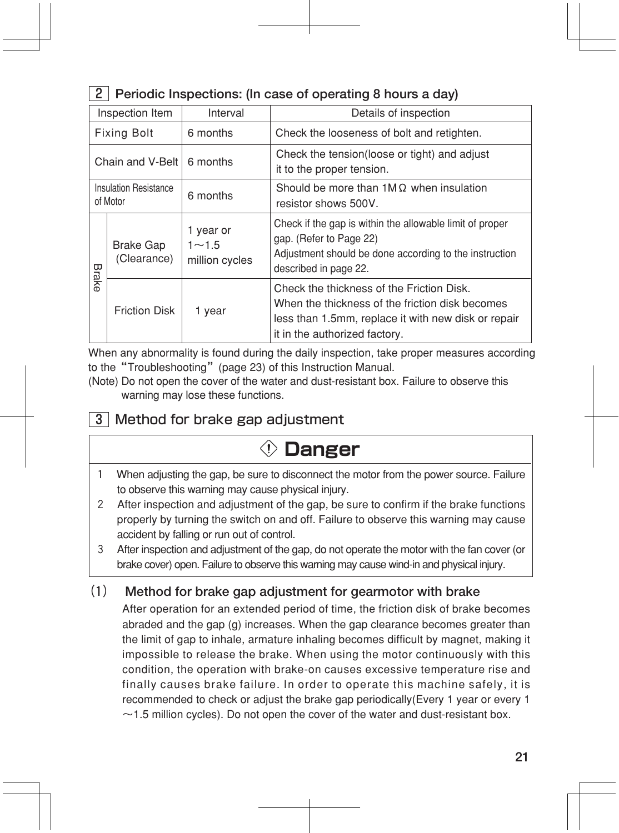### 2 **Periodic Inspections: (In case of operating 8 hours a day)**

| Inspection Item                   |                                 | Interval                                 | Details of inspection                                                                                                                                                                |  |
|-----------------------------------|---------------------------------|------------------------------------------|--------------------------------------------------------------------------------------------------------------------------------------------------------------------------------------|--|
| <b>Fixing Bolt</b>                |                                 | 6 months                                 | Check the looseness of bolt and retighten.                                                                                                                                           |  |
| Chain and V-Belt I                |                                 | 6 months                                 | Check the tension (loose or tight) and adjust<br>it to the proper tension.                                                                                                           |  |
| Insulation Resistance<br>of Motor |                                 | 6 months                                 | Should be more than $1M\Omega$ when insulation<br>resistor shows 500V.                                                                                                               |  |
|                                   | <b>Brake Gap</b><br>(Clearance) | 1 year or<br>$1 - 1.5$<br>million cycles | Check if the gap is within the allowable limit of proper<br>gap. (Refer to Page 22)<br>Adjustment should be done according to the instruction<br>described in page 22.               |  |
| Brake                             | <b>Friction Disk</b>            | 1 year                                   | Check the thickness of the Friction Disk.<br>When the thickness of the friction disk becomes<br>less than 1.5mm, replace it with new disk or repair<br>it in the authorized factory. |  |

When any abnormality is found during the daily inspection, take proper measures according to the "Troubleshooting" (page 23) of this Instruction Manual.

(Note) Do not open the cover of the water and dust-resistant box. Failure to observe this warning may lose these functions.

### 3 Method for brake gap adjustment

## **Danger**

- 1 When adjusting the gap, be sure to disconnect the motor from the power source. Failure to observe this warning may cause physical injury.
- 2 After inspection and adjustment of the gap, be sure to confirm if the brake functions properly by turning the switch on and off. Failure to observe this warning may cause accident by falling or run out of control.
- 3 After inspection and adjustment of the gap, do not operate the motor with the fan cover (or brake cover) open. Failure to observe this warning may cause wind-in and physical injury.

### **(1) Method for brake gap adjustment for gearmotor with brake**

After operation for an extended period of time, the friction disk of brake becomes abraded and the gap (g) increases. When the gap clearance becomes greater than the limit of gap to inhale, armature inhaling becomes difficult by magnet, making it impossible to release the brake. When using the motor continuously with this condition, the operation with brake-on causes excessive temperature rise and finally causes brake failure. In order to operate this machine safely, it is recommended to check or adjust the brake gap periodically(Every 1 year or every 1  $\sim$  1.5 million cycles). Do not open the cover of the water and dust-resistant box.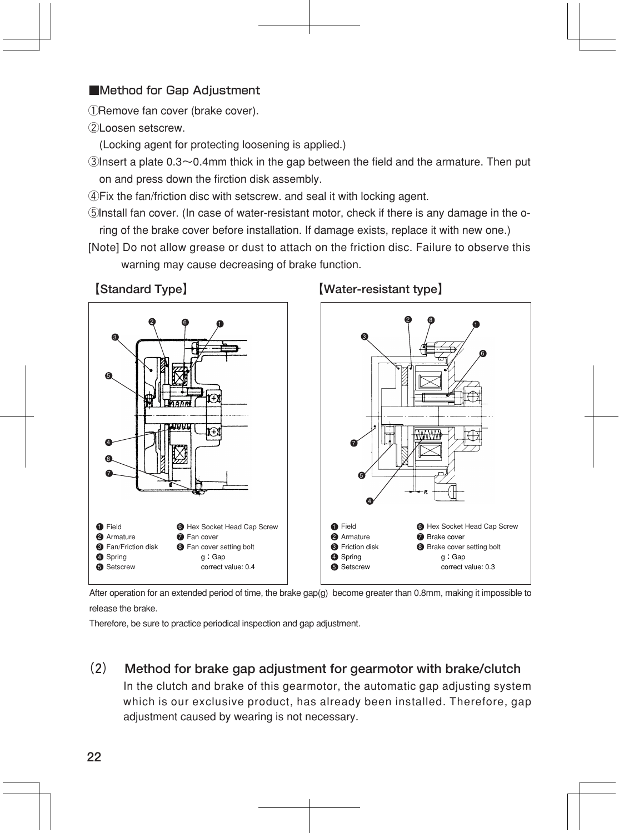#### ■Method for Gap Adjustment

①Remove fan cover (brake cover).

②Loosen setscrew.

(Locking agent for protecting loosening is applied.)

 $\Diamond$ Insert a plate 0.3 $\sim$ 0.4mm thick in the gap between the field and the armature. Then put on and press down the firction disk assembly.

④Fix the fan/friction disc with setscrew. and seal it with locking agent.

- ⑤Install fan cover. (In case of water-resistant motor, check if there is any damage in the oring of the brake cover before installation. If damage exists, replace it with new one.)
- [Note] Do not allow grease or dust to attach on the friction disc. Failure to observe this warning may cause decreasing of brake function.

**【Standard Type】 【Water-resistant type】** 



After operation for an extended period of time, the brake gap(g) become greater than 0.8mm, making it impossible to

release the brake.

Therefore, be sure to practice periodical inspection and gap adjustment.

**(2) Method for brake gap adjustment for gearmotor with brake/clutch**

In the clutch and brake of this gearmotor, the automatic gap adjusting system which is our exclusive product, has already been installed. Therefore, gap adjustment caused by wearing is not necessary.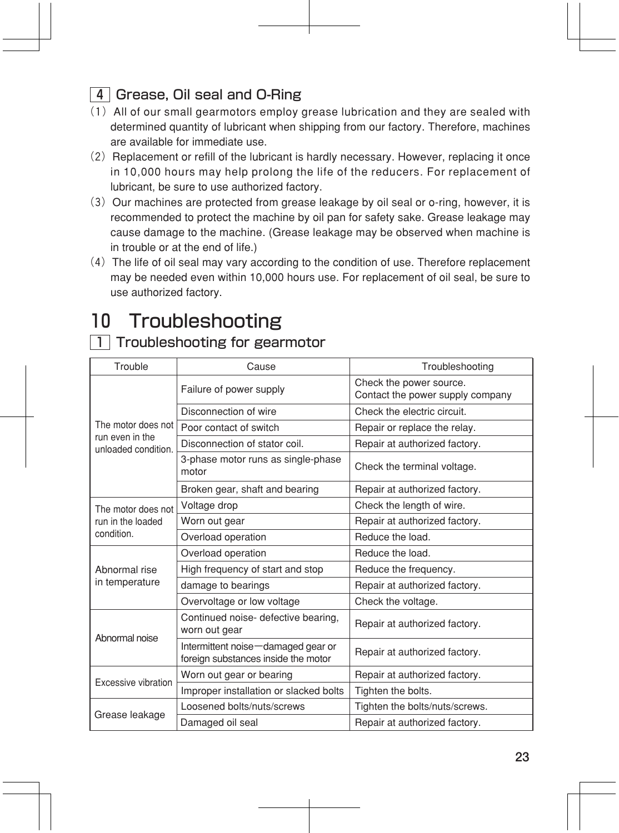### 4 Grease, Oil seal and O-Ring

- (1)All of our small gearmotors employ grease lubrication and they are sealed with determined quantity of lubricant when shipping from our factory. Therefore, machines are available for immediate use.
- $(2)$  Replacement or refill of the lubricant is hardly necessary. However, replacing it once in 10,000 hours may help prolong the life of the reducers. For replacement of lubricant, be sure to use authorized factory.
- (3) Our machines are protected from grease leakage by oil seal or o-ring, however, it is recommended to protect the machine by oil pan for safety sake. Grease leakage may cause damage to the machine. (Grease leakage may be observed when machine is in trouble or at the end of life.)
- (4)The life of oil seal may vary according to the condition of use. Therefore replacement may be needed even within 10,000 hours use. For replacement of oil seal, be sure to use authorized factory.

### 10 Troubleshooting

#### 1 Troubleshooting for gearmotor

| Trouble                                | Cause                                                                     | Troubleshooting                                             |
|----------------------------------------|---------------------------------------------------------------------------|-------------------------------------------------------------|
|                                        | Failure of power supply                                                   | Check the power source.<br>Contact the power supply company |
| The motor does not                     | Disconnection of wire                                                     | Check the electric circuit.                                 |
|                                        | Poor contact of switch                                                    | Repair or replace the relay.                                |
| run even in the<br>unloaded condition. | Disconnection of stator coil.                                             | Repair at authorized factory.                               |
|                                        | 3-phase motor runs as single-phase<br>motor                               | Check the terminal voltage.                                 |
|                                        | Broken gear, shaft and bearing                                            | Repair at authorized factory.                               |
| The motor does not                     | Voltage drop                                                              | Check the length of wire.                                   |
| run in the loaded                      | Worn out gear                                                             | Repair at authorized factory.                               |
| condition.                             | Overload operation                                                        | Reduce the load.                                            |
|                                        | Overload operation                                                        | Reduce the load.                                            |
| Abnormal rise                          | High frequency of start and stop                                          | Reduce the frequency.                                       |
| in temperature                         | damage to bearings                                                        | Repair at authorized factory.                               |
|                                        | Overvoltage or low voltage                                                | Check the voltage.                                          |
| Abnormal noise                         | Continued noise- defective bearing,<br>worn out gear                      | Repair at authorized factory.                               |
|                                        | Intermittent noise-damaged gear or<br>foreign substances inside the motor | Repair at authorized factory.                               |
| Excessive vibration                    | Worn out gear or bearing                                                  | Repair at authorized factory.                               |
|                                        | Improper installation or slacked bolts                                    | Tighten the bolts.                                          |
|                                        | Loosened bolts/nuts/screws                                                | Tighten the bolts/nuts/screws.                              |
| Grease leakage                         | Damaged oil seal                                                          | Repair at authorized factory.                               |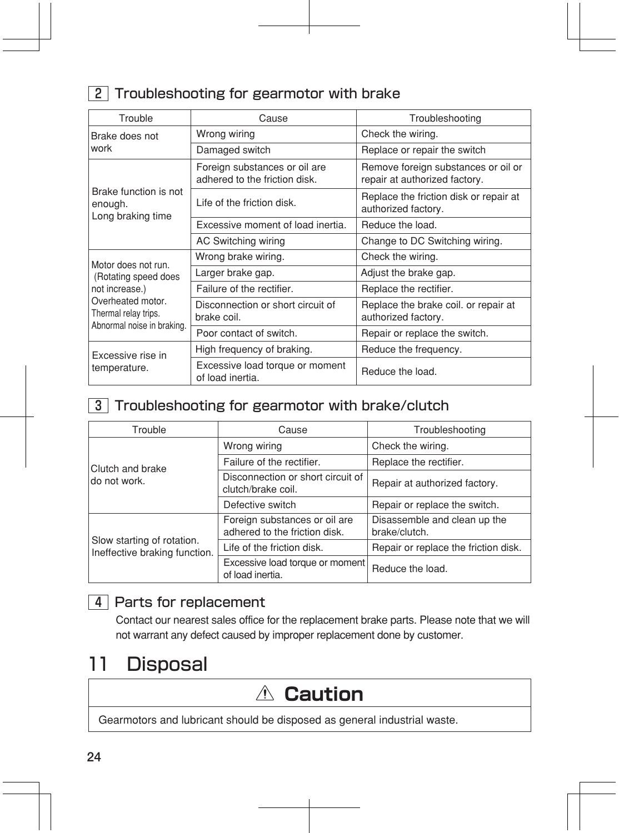### **2** Troubleshooting for gearmotor with brake

| Trouble                                                                                                                                  | Cause                                                          | Troubleshooting                                                      |
|------------------------------------------------------------------------------------------------------------------------------------------|----------------------------------------------------------------|----------------------------------------------------------------------|
| Brake does not<br>work                                                                                                                   | Wrong wiring                                                   | Check the wiring.                                                    |
|                                                                                                                                          | Damaged switch                                                 | Replace or repair the switch                                         |
| Brake function is not<br>enough.<br>Long braking time                                                                                    | Foreign substances or oil are<br>adhered to the friction disk. | Remove foreign substances or oil or<br>repair at authorized factory. |
|                                                                                                                                          | Life of the friction disk.                                     | Replace the friction disk or repair at<br>authorized factory.        |
|                                                                                                                                          | Excessive moment of load inertia.                              | Reduce the load.                                                     |
|                                                                                                                                          | AC Switching wiring                                            | Change to DC Switching wiring.                                       |
| Motor does not run.<br>(Rotating speed does<br>not increase.)<br>Overheated motor.<br>Thermal relay trips.<br>Abnormal noise in braking. | Wrong brake wiring.                                            | Check the wiring.                                                    |
|                                                                                                                                          | Larger brake gap.                                              | Adjust the brake gap.                                                |
|                                                                                                                                          | Failure of the rectifier.                                      | Replace the rectifier.                                               |
|                                                                                                                                          | Disconnection or short circuit of<br>brake coil.               | Replace the brake coil. or repair at<br>authorized factory.          |
|                                                                                                                                          | Poor contact of switch.                                        | Repair or replace the switch.                                        |
| Excessive rise in<br>temperature.                                                                                                        | High frequency of braking.                                     | Reduce the frequency.                                                |
|                                                                                                                                          | Excessive load torque or moment<br>of load inertia.            | Reduce the load.                                                     |

#### 3 Troubleshooting for gearmotor with brake/clutch

| Trouble                                                     | Cause                                                          | Troubleshooting                               |
|-------------------------------------------------------------|----------------------------------------------------------------|-----------------------------------------------|
|                                                             | Wrong wiring                                                   | Check the wiring.                             |
| Clutch and brake                                            | Failure of the rectifier.                                      | Replace the rectifier.                        |
| ldo not work.                                               | Disconnection or short circuit of<br>clutch/brake coil.        | Repair at authorized factory.                 |
|                                                             | Defective switch                                               | Repair or replace the switch.                 |
|                                                             | Foreign substances or oil are<br>adhered to the friction disk. | Disassemble and clean up the<br>brake/clutch. |
| Slow starting of rotation.<br>Ineffective braking function. | Life of the friction disk.                                     | Repair or replace the friction disk.          |
|                                                             | Excessive load torque or moment<br>of load inertia.            | Reduce the load.                              |

### 4 Parts for replacement

Contact our nearest sales office for the replacement brake parts. Please note that we will not warrant any defect caused by improper replacement done by customer.

### 11 Disposal

## **Caution**

Gearmotors and lubricant should be disposed as general industrial waste.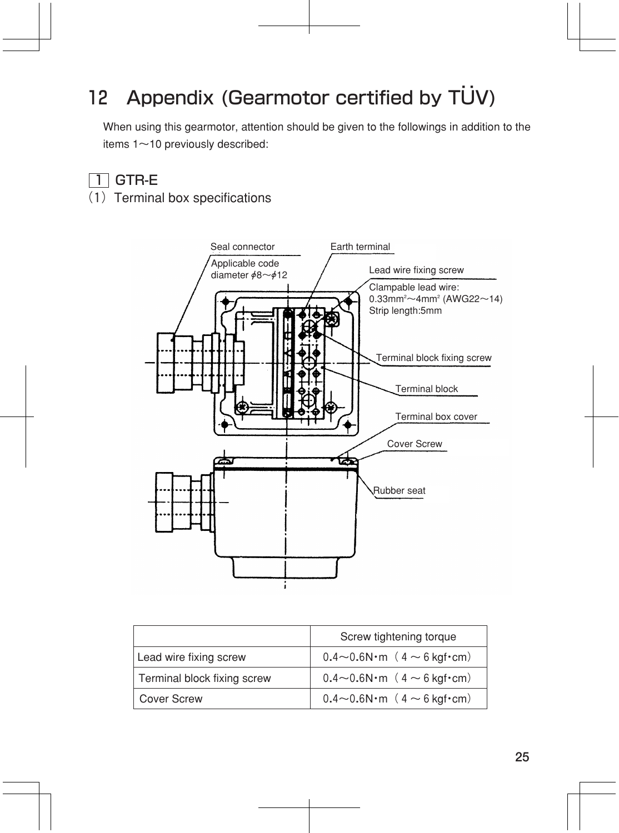## 12 Appendix (Gearmotor certified by TUV)

When using this gearmotor, attention should be given to the followings in addition to the items 1~10 previously described:

### $\overline{1}$  GTR-E

(1) Terminal box specifications



|                             | Screw tightening torque                 |
|-----------------------------|-----------------------------------------|
| Lead wire fixing screw      | $0.4 \sim 0.6$ N·m ( $4 \sim 6$ kgf·cm) |
| Terminal block fixing screw | $0.4 \sim 0.6$ N·m ( $4 \sim 6$ kgf·cm) |
| <b>Cover Screw</b>          | $0.4 \sim 0.6$ N·m ( $4 \sim 6$ kgf·cm) |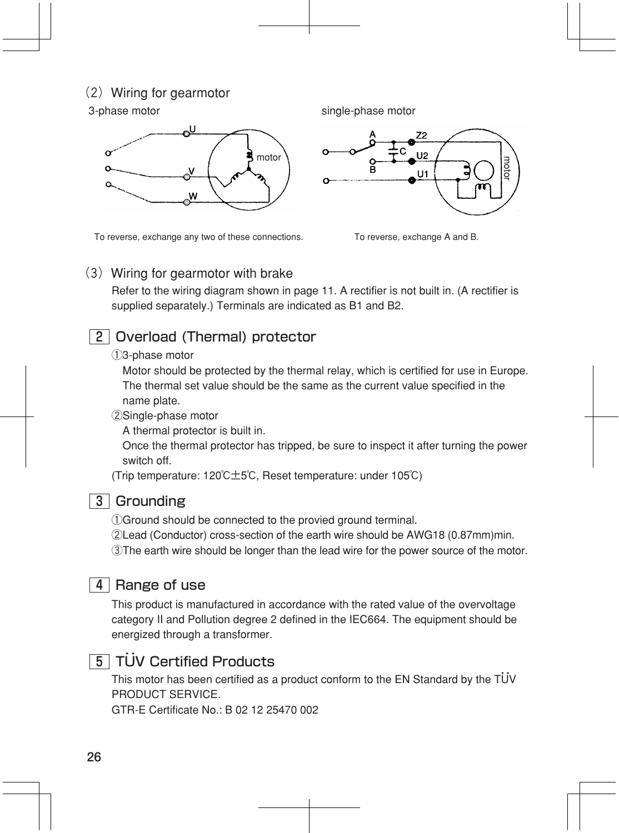#### $(2)$  Wiring for gearmotor



To reverse, exchange any two of these connections. To reverse, exchange A and B.

#### (3) Wiring for gearmotor with brake

Refer to the wiring diagram shown in page 11. A rectifier is not built in. (A rectifier is supplied separately.) Terminals are indicated as B1 and B2.

### 2 Overload (Thermal) protector

#### ①3-phase motor

 Motor should be protected by the thermal relay, which is certified for use in Europe. The thermal set value should be the same as the current value specified in the name plate.

#### ②Single-phase motor

A thermal protector is built in.

 Once the thermal protector has tripped, be sure to inspect it after turning the power switch off.

(Trip temperature: 120℃±5℃, Reset temperature: under 105℃)



#### 3 Grounding

①Ground should be connected to the provied ground terminal.

②Lead (Conductor) cross-section of the earth wire should be AWG18 (0.87mm)min.

③The earth wire should be longer than the lead wire for the power source of the motor.

### $\overline{4}$  Range of use

This product is manufactured in accordance with the rated value of the overvoltage category II and Pollution degree 2 defined in the IEC664. The equipment should be energized through a transformer.

### 5 TUV Certified Products

This motor has been certified as a product conform to the EN Standard by the TUV PRODUCT SERVICE. TUV Certified Products<br>This motor has been certified as a product<br>PRODUCT SERVICE.<br>GTR-E Certificate No.: B 02 12 25470 002 :



3-phase motor single-phase motor

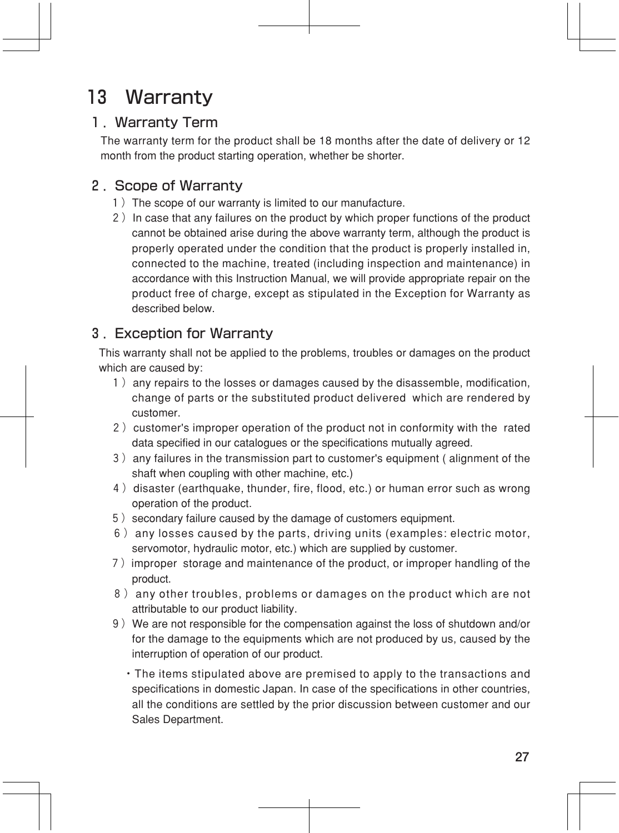## 13 Warranty

### 1.Warranty Term

The warranty term for the product shall be 18 months after the date of delivery or 12 month from the product starting operation, whether be shorter.

### 2.Scope of Warranty

- 1) The scope of our warranty is limited to our manufacture.
- 2) In case that any failures on the product by which proper functions of the product cannot be obtained arise during the above warranty term, although the product is properly operated under the condition that the product is properly installed in, connected to the machine, treated (including inspection and maintenance) in accordance with this Instruction Manual, we will provide appropriate repair on the product free of charge, except as stipulated in the Exception for Warranty as described below.

### 3.Exception for Warranty

This warranty shall not be applied to the problems, troubles or damages on the product which are caused by:

- 1) any repairs to the losses or damages caused by the disassemble, modification, change of parts or the substituted product delivered which are rendered by customer.
- 2) customer's improper operation of the product not in conformity with the rated data specified in our catalogues or the specifications mutually agreed.
- 3)any failures in the transmission part to customer's equipment ( alignment of the shaft when coupling with other machine, etc.)
- 4) disaster (earthquake, thunder, fire, flood, etc.) or human error such as wrong operation of the product.
- 5) secondary failure caused by the damage of customers equipment.
- 6)any losses caused by the parts, driving units (examples: electric motor, servomotor, hydraulic motor, etc.) which are supplied by customer.
- 7)improper storage and maintenance of the product, or improper handling of the product.
- 8) any other troubles, problems or damages on the product which are not attributable to our product liability.
- 9)We are not responsible for the compensation against the loss of shutdown and/or for the damage to the equipments which are not produced by us, caused by the interruption of operation of our product.
	- ・The items stipulated above are premised to apply to the transactions and specifications in domestic Japan. In case of the specifications in other countries, all the conditions are settled by the prior discussion between customer and our Sales Department.